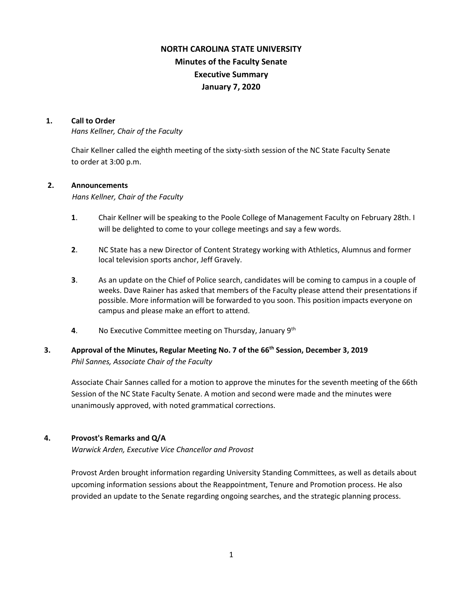# **NORTH CAROLINA STATE UNIVERSITY Minutes of the Faculty Senate Executive Summary January 7, 2020**

#### **1. Call to Order**

*Hans Kellner, Chair of the Faculty*

Chair Kellner called the eighth meeting of the sixty-sixth session of the NC State Faculty Senate to order at 3:00 p.m.

### **2. Announcements**

*Hans Kellner, Chair of the Faculty*

- **1**. Chair Kellner will be speaking to the Poole College of Management Faculty on February 28th. I will be delighted to come to your college meetings and say a few words.
- **2**. NC State has a new Director of Content Strategy working with Athletics, Alumnus and former local television sports anchor, Jeff Gravely.
- **3**. As an update on the Chief of Police search, candidates will be coming to campus in a couple of weeks. Dave Rainer has asked that members of the Faculty please attend their presentations if possible. More information will be forwarded to you soon. This position impacts everyone on campus and please make an effort to attend.
- **4**. No Executive Committee meeting on Thursday, January 9th

## **3. Approval of the Minutes, Regular Meeting No. 7 of the 66th Session, December 3, 2019** *Phil Sannes, Associate Chair of the Faculty*

Associate Chair Sannes called for a motion to approve the minutes for the seventh meeting of the 66th Session of the NC State Faculty Senate. A motion and second were made and the minutes were unanimously approved, with noted grammatical corrections.

### **4. Provost's Remarks and Q/A**

*Warwick Arden, Executive Vice Chancellor and Provost*

Provost Arden brought information regarding University Standing Committees, as well as details about upcoming information sessions about the Reappointment, Tenure and Promotion process. He also provided an update to the Senate regarding ongoing searches, and the strategic planning process.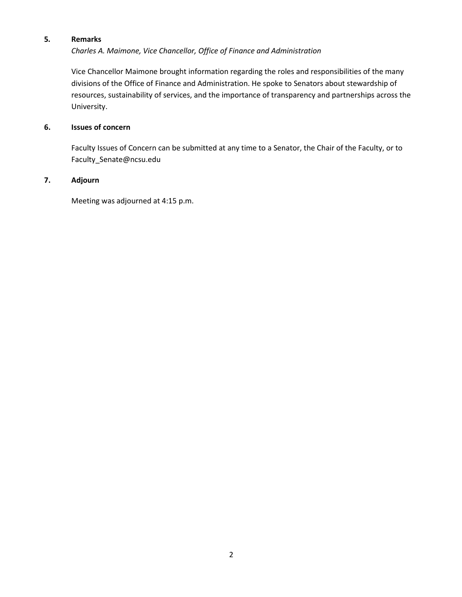## **5***.* **Remarks**

*Charles A. Maimone, Vice Chancellor, Office of Finance and Administration*

Vice Chancellor Maimone brought information regarding the roles and responsibilities of the many divisions of the Office of Finance and Administration. He spoke to Senators about stewardship of resources, sustainability of services, and the importance of transparency and partnerships across the University.

## **6. Issues of concern**

 Faculty Issues of Concern can be submitted at any time to a Senator, the Chair of the Faculty, or to Faculty\_Senate@ncsu.edu

## **7. Adjourn**

Meeting was adjourned at 4:15 p.m.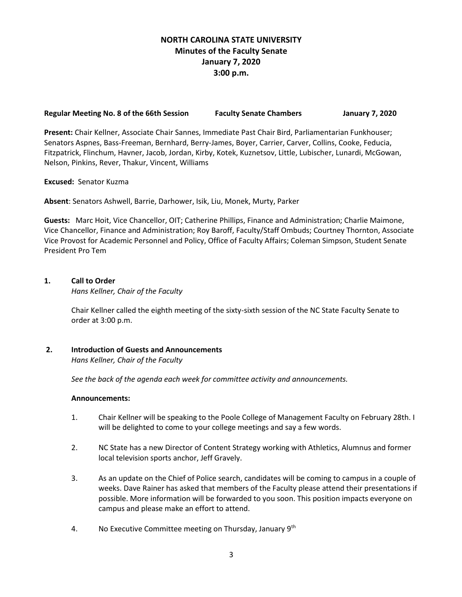## **NORTH CAROLINA STATE UNIVERSITY Minutes of the Faculty Senate January 7, 2020 3:00 p.m.**

#### **Regular Meeting No. 8 of the 66th Session Faculty Senate Chambers January 7, 2020**

**Present:** Chair Kellner, Associate Chair Sannes, Immediate Past Chair Bird, Parliamentarian Funkhouser; Senators Aspnes, Bass-Freeman, Bernhard, Berry-James, Boyer, Carrier, Carver, Collins, Cooke, Feducia, Fitzpatrick, Flinchum, Havner, Jacob, Jordan, Kirby, Kotek, Kuznetsov, Little, Lubischer, Lunardi, McGowan, Nelson, Pinkins, Rever, Thakur, Vincent, Williams

#### **Excused:** Senator Kuzma

**Absent**: Senators Ashwell, Barrie, Darhower, Isik, Liu, Monek, Murty, Parker

**Guests:** Marc Hoit, Vice Chancellor, OIT; Catherine Phillips, Finance and Administration; Charlie Maimone, Vice Chancellor, Finance and Administration; Roy Baroff, Faculty/Staff Ombuds; Courtney Thornton, Associate Vice Provost for Academic Personnel and Policy, Office of Faculty Affairs; Coleman Simpson, Student Senate President Pro Tem

### **1. Call to Order**

*Hans Kellner, Chair of the Faculty*

Chair Kellner called the eighth meeting of the sixty-sixth session of the NC State Faculty Senate to order at 3:00 p.m.

### **2. Introduction of Guests and Announcements**

*Hans Kellner, Chair of the Faculty*

 *See the back of the agenda each week for committee activity and announcements.*

#### **Announcements:**

- 1. Chair Kellner will be speaking to the Poole College of Management Faculty on February 28th. I will be delighted to come to your college meetings and say a few words.
- 2. NC State has a new Director of Content Strategy working with Athletics, Alumnus and former local television sports anchor, Jeff Gravely.
- 3. As an update on the Chief of Police search, candidates will be coming to campus in a couple of weeks. Dave Rainer has asked that members of the Faculty please attend their presentations if possible. More information will be forwarded to you soon. This position impacts everyone on campus and please make an effort to attend.
- 4. No Executive Committee meeting on Thursday, January 9<sup>th</sup>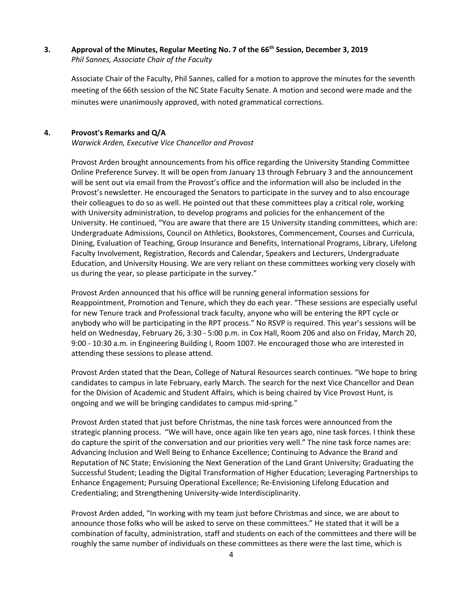### **3. Approval of the Minutes, Regular Meeting No. 7 of the 66th Session, December 3, 2019** *Phil Sannes, Associate Chair of the Faculty*

Associate Chair of the Faculty, Phil Sannes, called for a motion to approve the minutes for the seventh meeting of the 66th session of the NC State Faculty Senate. A motion and second were made and the minutes were unanimously approved, with noted grammatical corrections.

### **4. Provost's Remarks and Q/A**

*Warwick Arden, Executive Vice Chancellor and Provost* 

Provost Arden brought announcements from his office regarding the University Standing Committee Online Preference Survey. It will be open from January 13 through February 3 and the announcement will be sent out via email from the Provost's office and the information will also be included in the Provost's newsletter. He encouraged the Senators to participate in the survey and to also encourage their colleagues to do so as well. He pointed out that these committees play a critical role, working with University administration, to develop programs and policies for the enhancement of the University. He continued, "You are aware that there are 15 University standing committees, which are: Undergraduate Admissions, Council on Athletics, Bookstores, Commencement, Courses and Curricula, Dining, Evaluation of Teaching, Group Insurance and Benefits, International Programs, Library, Lifelong Faculty Involvement, Registration, Records and Calendar, Speakers and Lecturers, Undergraduate Education, and University Housing. We are very reliant on these committees working very closely with us during the year, so please participate in the survey."

Provost Arden announced that his office will be running general information sessions for Reappointment, Promotion and Tenure, which they do each year. "These sessions are especially useful for new Tenure track and Professional track faculty, anyone who will be entering the RPT cycle or anybody who will be participating in the RPT process." No RSVP is required. This year's sessions will be held on Wednesday, February 26, 3:30 - 5:00 p.m. in Cox Hall, Room 206 and also on Friday, March 20, 9:00 - 10:30 a.m. in Engineering Building I, Room 1007. He encouraged those who are interested in attending these sessions to please attend.

Provost Arden stated that the Dean, College of Natural Resources search continues. "We hope to bring candidates to campus in late February, early March. The search for the next Vice Chancellor and Dean for the Division of Academic and Student Affairs, which is being chaired by Vice Provost Hunt, is ongoing and we will be bringing candidates to campus mid-spring."

Provost Arden stated that just before Christmas, the nine task forces were announced from the strategic planning process. "We will have, once again like ten years ago, nine task forces. I think these do capture the spirit of the conversation and our priorities very well." The nine task force names are: Advancing Inclusion and Well Being to Enhance Excellence; Continuing to Advance the Brand and Reputation of NC State; Envisioning the Next Generation of the Land Grant University; Graduating the Successful Student; Leading the Digital Transformation of Higher Education; Leveraging Partnerships to Enhance Engagement; Pursuing Operational Excellence; Re-Envisioning Lifelong Education and Credentialing; and Strengthening University-wide Interdisciplinarity.

Provost Arden added, "In working with my team just before Christmas and since, we are about to announce those folks who will be asked to serve on these committees." He stated that it will be a combination of faculty, administration, staff and students on each of the committees and there will be roughly the same number of individuals on these committees as there were the last time, which is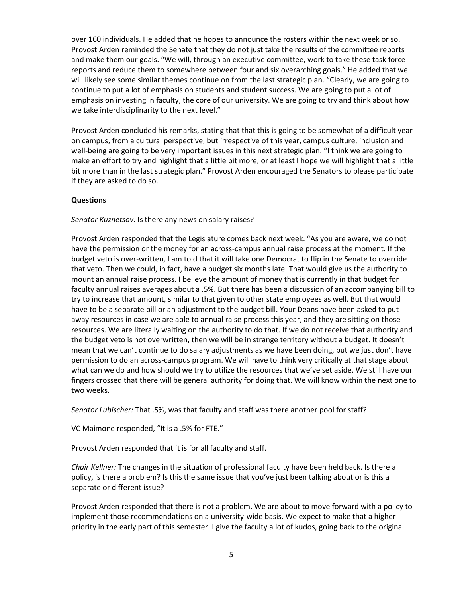over 160 individuals. He added that he hopes to announce the rosters within the next week or so. Provost Arden reminded the Senate that they do not just take the results of the committee reports and make them our goals. "We will, through an executive committee, work to take these task force reports and reduce them to somewhere between four and six overarching goals." He added that we will likely see some similar themes continue on from the last strategic plan. "Clearly, we are going to continue to put a lot of emphasis on students and student success. We are going to put a lot of emphasis on investing in faculty, the core of our university. We are going to try and think about how we take interdisciplinarity to the next level."

Provost Arden concluded his remarks, stating that that this is going to be somewhat of a difficult year on campus, from a cultural perspective, but irrespective of this year, campus culture, inclusion and well-being are going to be very important issues in this next strategic plan. "I think we are going to make an effort to try and highlight that a little bit more, or at least I hope we will highlight that a little bit more than in the last strategic plan." Provost Arden encouraged the Senators to please participate if they are asked to do so.

#### **Questions**

#### *Senator Kuznetsov:* Is there any news on salary raises?

Provost Arden responded that the Legislature comes back next week. "As you are aware, we do not have the permission or the money for an across-campus annual raise process at the moment. If the budget veto is over-written, I am told that it will take one Democrat to flip in the Senate to override that veto. Then we could, in fact, have a budget six months late. That would give us the authority to mount an annual raise process. I believe the amount of money that is currently in that budget for faculty annual raises averages about a .5%. But there has been a discussion of an accompanying bill to try to increase that amount, similar to that given to other state employees as well. But that would have to be a separate bill or an adjustment to the budget bill. Your Deans have been asked to put away resources in case we are able to annual raise process this year, and they are sitting on those resources. We are literally waiting on the authority to do that. If we do not receive that authority and the budget veto is not overwritten, then we will be in strange territory without a budget. It doesn't mean that we can't continue to do salary adjustments as we have been doing, but we just don't have permission to do an across-campus program. We will have to think very critically at that stage about what can we do and how should we try to utilize the resources that we've set aside. We still have our fingers crossed that there will be general authority for doing that. We will know within the next one to two weeks.

*Senator Lubischer:* That .5%, was that faculty and staff was there another pool for staff?

VC Maimone responded, "It is a .5% for FTE."

Provost Arden responded that it is for all faculty and staff.

*Chair Kellner:* The changes in the situation of professional faculty have been held back. Is there a policy, is there a problem? Is this the same issue that you've just been talking about or is this a separate or different issue?

Provost Arden responded that there is not a problem. We are about to move forward with a policy to implement those recommendations on a university-wide basis. We expect to make that a higher priority in the early part of this semester. I give the faculty a lot of kudos, going back to the original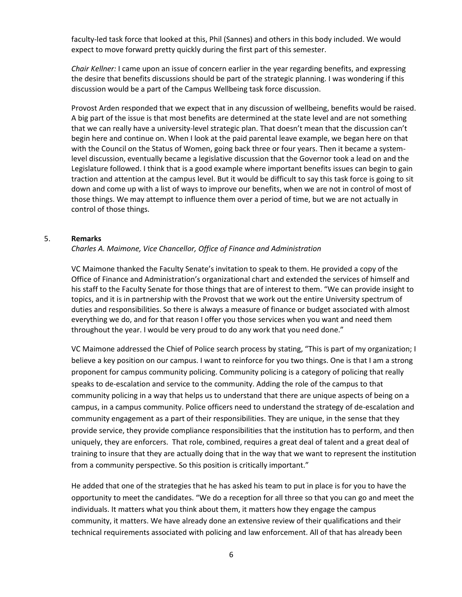faculty-led task force that looked at this, Phil (Sannes) and others in this body included. We would expect to move forward pretty quickly during the first part of this semester.

*Chair Kellner:* I came upon an issue of concern earlier in the year regarding benefits, and expressing the desire that benefits discussions should be part of the strategic planning. I was wondering if this discussion would be a part of the Campus Wellbeing task force discussion.

Provost Arden responded that we expect that in any discussion of wellbeing, benefits would be raised. A big part of the issue is that most benefits are determined at the state level and are not something that we can really have a university-level strategic plan. That doesn't mean that the discussion can't begin here and continue on. When I look at the paid parental leave example, we began here on that with the Council on the Status of Women, going back three or four years. Then it became a systemlevel discussion, eventually became a legislative discussion that the Governor took a lead on and the Legislature followed. I think that is a good example where important benefits issues can begin to gain traction and attention at the campus level. But it would be difficult to say this task force is going to sit down and come up with a list of ways to improve our benefits, when we are not in control of most of those things. We may attempt to influence them over a period of time, but we are not actually in control of those things.

#### 5. **Remarks**

*Charles A. Maimone, Vice Chancellor, Office of Finance and Administration*

VC Maimone thanked the Faculty Senate's invitation to speak to them. He provided a copy of the Office of Finance and Administration's organizational chart and extended the services of himself and his staff to the Faculty Senate for those things that are of interest to them. "We can provide insight to topics, and it is in partnership with the Provost that we work out the entire University spectrum of duties and responsibilities. So there is always a measure of finance or budget associated with almost everything we do, and for that reason I offer you those services when you want and need them throughout the year. I would be very proud to do any work that you need done."

VC Maimone addressed the Chief of Police search process by stating, "This is part of my organization; I believe a key position on our campus. I want to reinforce for you two things. One is that I am a strong proponent for campus community policing. Community policing is a category of policing that really speaks to de-escalation and service to the community. Adding the role of the campus to that community policing in a way that helps us to understand that there are unique aspects of being on a campus, in a campus community. Police officers need to understand the strategy of de-escalation and community engagement as a part of their responsibilities. They are unique, in the sense that they provide service, they provide compliance responsibilities that the institution has to perform, and then uniquely, they are enforcers. That role, combined, requires a great deal of talent and a great deal of training to insure that they are actually doing that in the way that we want to represent the institution from a community perspective. So this position is critically important."

He added that one of the strategies that he has asked his team to put in place is for you to have the opportunity to meet the candidates. "We do a reception for all three so that you can go and meet the individuals. It matters what you think about them, it matters how they engage the campus community, it matters. We have already done an extensive review of their qualifications and their technical requirements associated with policing and law enforcement. All of that has already been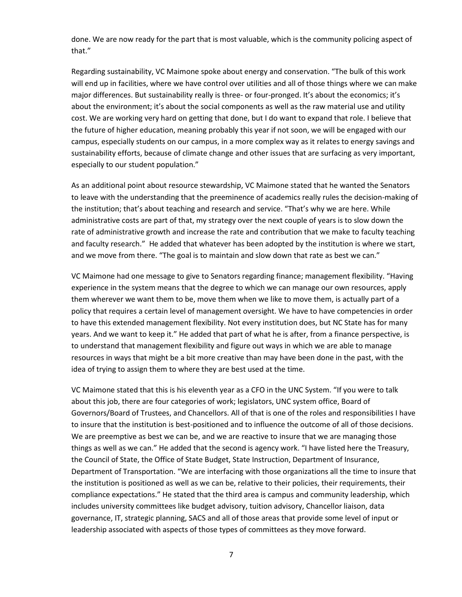done. We are now ready for the part that is most valuable, which is the community policing aspect of that."

Regarding sustainability, VC Maimone spoke about energy and conservation. "The bulk of this work will end up in facilities, where we have control over utilities and all of those things where we can make major differences. But sustainability really is three- or four-pronged. It's about the economics; it's about the environment; it's about the social components as well as the raw material use and utility cost. We are working very hard on getting that done, but I do want to expand that role. I believe that the future of higher education, meaning probably this year if not soon, we will be engaged with our campus, especially students on our campus, in a more complex way as it relates to energy savings and sustainability efforts, because of climate change and other issues that are surfacing as very important, especially to our student population."

As an additional point about resource stewardship, VC Maimone stated that he wanted the Senators to leave with the understanding that the preeminence of academics really rules the decision-making of the institution; that's about teaching and research and service. "That's why we are here. While administrative costs are part of that, my strategy over the next couple of years is to slow down the rate of administrative growth and increase the rate and contribution that we make to faculty teaching and faculty research." He added that whatever has been adopted by the institution is where we start, and we move from there. "The goal is to maintain and slow down that rate as best we can."

VC Maimone had one message to give to Senators regarding finance; management flexibility. "Having experience in the system means that the degree to which we can manage our own resources, apply them wherever we want them to be, move them when we like to move them, is actually part of a policy that requires a certain level of management oversight. We have to have competencies in order to have this extended management flexibility. Not every institution does, but NC State has for many years. And we want to keep it." He added that part of what he is after, from a finance perspective, is to understand that management flexibility and figure out ways in which we are able to manage resources in ways that might be a bit more creative than may have been done in the past, with the idea of trying to assign them to where they are best used at the time.

VC Maimone stated that this is his eleventh year as a CFO in the UNC System. "If you were to talk about this job, there are four categories of work; legislators, UNC system office, Board of Governors/Board of Trustees, and Chancellors. All of that is one of the roles and responsibilities I have to insure that the institution is best-positioned and to influence the outcome of all of those decisions. We are preemptive as best we can be, and we are reactive to insure that we are managing those things as well as we can." He added that the second is agency work. "I have listed here the Treasury, the Council of State, the Office of State Budget, State Instruction, Department of Insurance, Department of Transportation. "We are interfacing with those organizations all the time to insure that the institution is positioned as well as we can be, relative to their policies, their requirements, their compliance expectations." He stated that the third area is campus and community leadership, which includes university committees like budget advisory, tuition advisory, Chancellor liaison, data governance, IT, strategic planning, SACS and all of those areas that provide some level of input or leadership associated with aspects of those types of committees as they move forward.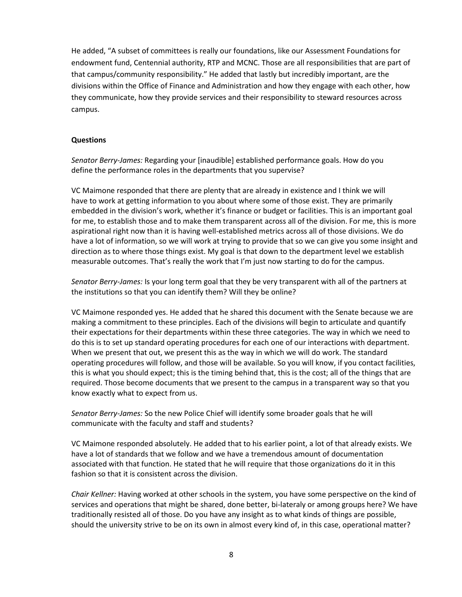He added, "A subset of committees is really our foundations, like our Assessment Foundations for endowment fund, Centennial authority, RTP and MCNC. Those are all responsibilities that are part of that campus/community responsibility." He added that lastly but incredibly important, are the divisions within the Office of Finance and Administration and how they engage with each other, how they communicate, how they provide services and their responsibility to steward resources across campus.

#### **Questions**

*Senator Berry-James:* Regarding your [inaudible] established performance goals. How do you define the performance roles in the departments that you supervise?

VC Maimone responded that there are plenty that are already in existence and I think we will have to work at getting information to you about where some of those exist. They are primarily embedded in the division's work, whether it's finance or budget or facilities. This is an important goal for me, to establish those and to make them transparent across all of the division. For me, this is more aspirational right now than it is having well-established metrics across all of those divisions. We do have a lot of information, so we will work at trying to provide that so we can give you some insight and direction as to where those things exist. My goal is that down to the department level we establish measurable outcomes. That's really the work that I'm just now starting to do for the campus.

*Senator Berry-James:* Is your long term goal that they be very transparent with all of the partners at the institutions so that you can identify them? Will they be online?

VC Maimone responded yes. He added that he shared this document with the Senate because we are making a commitment to these principles. Each of the divisions will begin to articulate and quantify their expectations for their departments within these three categories. The way in which we need to do this is to set up standard operating procedures for each one of our interactions with department. When we present that out, we present this as the way in which we will do work. The standard operating procedures will follow, and those will be available. So you will know, if you contact facilities, this is what you should expect; this is the timing behind that, this is the cost; all of the things that are required. Those become documents that we present to the campus in a transparent way so that you know exactly what to expect from us.

*Senator Berry-James:* So the new Police Chief will identify some broader goals that he will communicate with the faculty and staff and students?

VC Maimone responded absolutely. He added that to his earlier point, a lot of that already exists. We have a lot of standards that we follow and we have a tremendous amount of documentation associated with that function. He stated that he will require that those organizations do it in this fashion so that it is consistent across the division.

*Chair Kellner:* Having worked at other schools in the system, you have some perspective on the kind of services and operations that might be shared, done better, bi-lateraly or among groups here? We have traditionally resisted all of those. Do you have any insight as to what kinds of things are possible, should the university strive to be on its own in almost every kind of, in this case, operational matter?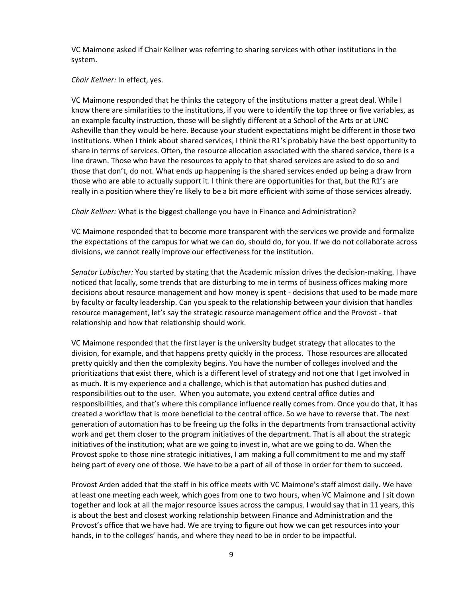VC Maimone asked if Chair Kellner was referring to sharing services with other institutions in the system.

*Chair Kellner:* In effect, yes.

VC Maimone responded that he thinks the category of the institutions matter a great deal. While I know there are similarities to the institutions, if you were to identify the top three or five variables, as an example faculty instruction, those will be slightly different at a School of the Arts or at UNC Asheville than they would be here. Because your student expectations might be different in those two institutions. When I think about shared services, I think the R1's probably have the best opportunity to share in terms of services. Often, the resource allocation associated with the shared service, there is a line drawn. Those who have the resources to apply to that shared services are asked to do so and those that don't, do not. What ends up happening is the shared services ended up being a draw from those who are able to actually support it. I think there are opportunities for that, but the R1's are really in a position where they're likely to be a bit more efficient with some of those services already.

*Chair Kellner:* What is the biggest challenge you have in Finance and Administration?

VC Maimone responded that to become more transparent with the services we provide and formalize the expectations of the campus for what we can do, should do, for you. If we do not collaborate across divisions, we cannot really improve our effectiveness for the institution.

*Senator Lubischer:* You started by stating that the Academic mission drives the decision-making. I have noticed that locally, some trends that are disturbing to me in terms of business offices making more decisions about resource management and how money is spent - decisions that used to be made more by faculty or faculty leadership. Can you speak to the relationship between your division that handles resource management, let's say the strategic resource management office and the Provost - that relationship and how that relationship should work.

VC Maimone responded that the first layer is the university budget strategy that allocates to the division, for example, and that happens pretty quickly in the process. Those resources are allocated pretty quickly and then the complexity begins. You have the number of colleges involved and the prioritizations that exist there, which is a different level of strategy and not one that I get involved in as much. It is my experience and a challenge, which is that automation has pushed duties and responsibilities out to the user. When you automate, you extend central office duties and responsibilities, and that's where this compliance influence really comes from. Once you do that, it has created a workflow that is more beneficial to the central office. So we have to reverse that. The next generation of automation has to be freeing up the folks in the departments from transactional activity work and get them closer to the program initiatives of the department. That is all about the strategic initiatives of the institution; what are we going to invest in, what are we going to do. When the Provost spoke to those nine strategic initiatives, I am making a full commitment to me and my staff being part of every one of those. We have to be a part of all of those in order for them to succeed.

Provost Arden added that the staff in his office meets with VC Maimone's staff almost daily. We have at least one meeting each week, which goes from one to two hours, when VC Maimone and I sit down together and look at all the major resource issues across the campus. I would say that in 11 years, this is about the best and closest working relationship between Finance and Administration and the Provost's office that we have had. We are trying to figure out how we can get resources into your hands, in to the colleges' hands, and where they need to be in order to be impactful.